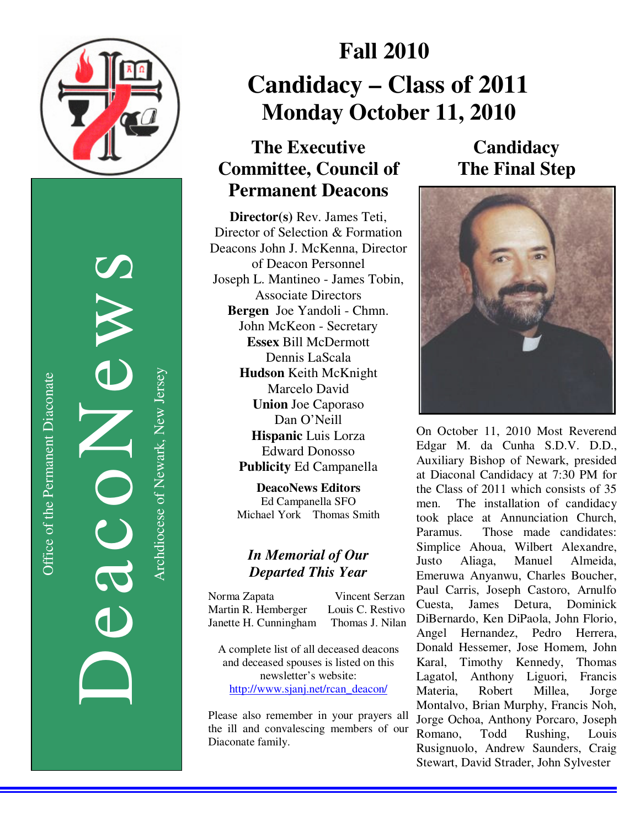

Office of the Permanent Diaconate Office of the Permanent Diaconate

DeacoNews News NEWS Archdiocese of Newark, New Jersey Archdiocese of Newark, New Jersey

# **Fall 2010 Candidacy – Class of 2011 Monday October 11, 2010**

## **The Executive Committee, Council of Permanent Deacons**

**Director(s)** Rev. James Teti, Director of Selection & Formation Deacons John J. McKenna, Director of Deacon Personnel Joseph L. Mantineo - James Tobin, Associate Directors **Bergen** Joe Yandoli - Chmn. John McKeon - Secretary **Essex** Bill McDermott Dennis LaScala **Hudson** Keith McKnight Marcelo David **Union** Joe Caporaso Dan O'Neill **Hispanic** Luis Lorza Edward Donosso **Publicity** Ed Campanella

> **DeacoNews Editors**  Ed Campanella SFO Michael York Thomas Smith

## *In Memorial of Our Departed This Year*

Norma Zapata Vincent Serzan Martin R. Hemberger Louis C. Restivo Janette H. Cunningham Thomas J. Nilan

A complete list of all deceased deacons and deceased spouses is listed on this newsletter's website: http://www.sjanj.net/rcan\_deacon/

Please also remember in your prayers all the ill and convalescing members of our Diaconate family.

**Candidacy The Final Step** 



On October 11, 2010 Most Reverend Edgar M. da Cunha S.D.V. D.D., Auxiliary Bishop of Newark, presided at Diaconal Candidacy at 7:30 PM for the Class of 2011 which consists of 35 men. The installation of candidacy took place at Annunciation Church, Paramus. Those made candidates: Simplice Ahoua, Wilbert Alexandre, Justo Aliaga, Manuel Almeida, Emeruwa Anyanwu, Charles Boucher, Paul Carris, Joseph Castoro, Arnulfo Cuesta, James Detura, Dominick DiBernardo, Ken DiPaola, John Florio, Angel Hernandez, Pedro Herrera, Donald Hessemer, Jose Homem, John Karal, Timothy Kennedy, Thomas Lagatol, Anthony Liguori, Francis Materia, Robert Millea, Jorge Montalvo, Brian Murphy, Francis Noh, Jorge Ochoa, Anthony Porcaro, Joseph Romano, Todd Rushing, Louis Rusignuolo, Andrew Saunders, Craig Stewart, David Strader, John Sylvester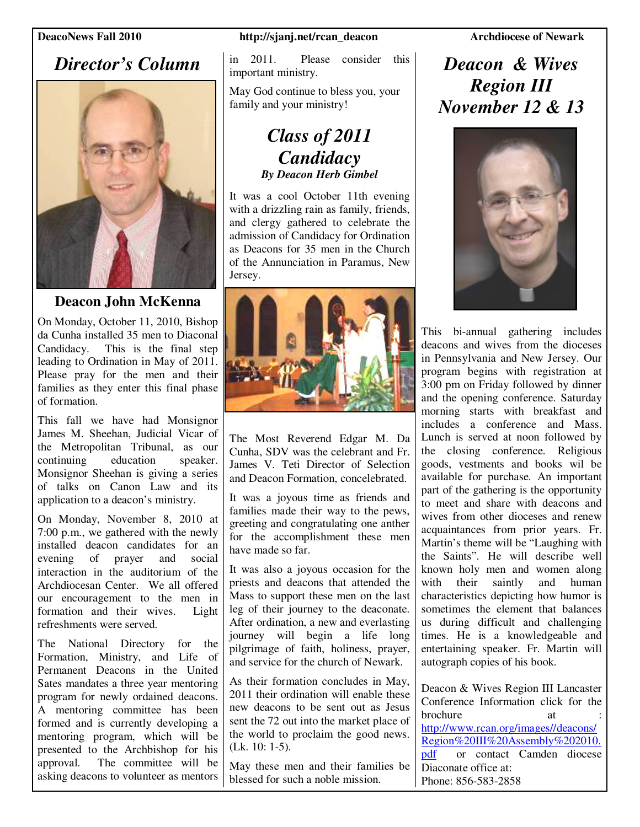## *Director's Column*



## **Deacon John McKenna**

On Monday, October 11, 2010, Bishop da Cunha installed 35 men to Diaconal Candidacy. This is the final step leading to Ordination in May of 2011. Please pray for the men and their families as they enter this final phase of formation.

This fall we have had Monsignor James M. Sheehan, Judicial Vicar of the Metropolitan Tribunal, as our continuing education speaker. continuing education speaker. Monsignor Sheehan is giving a series of talks on Canon Law and its application to a deacon's ministry.

On Monday, November 8, 2010 at 7:00 p.m., we gathered with the newly installed deacon candidates for an evening of prayer and social interaction in the auditorium of the Archdiocesan Center. We all offered our encouragement to the men in formation and their wives. Light refreshments were served.

The National Directory for the Formation, Ministry, and Life of Permanent Deacons in the United Sates mandates a three year mentoring program for newly ordained deacons. A mentoring committee has been formed and is currently developing a mentoring program, which will be presented to the Archbishop for his approval. The committee will be asking deacons to volunteer as mentors

### **DeacoNews Fall 2010** http://sjanj.net/rcan\_deacon Archdiocese of Newark

in 2011. Please consider this important ministry.

May God continue to bless you, your family and your ministry!

## *Class of 2011 Candidacy By Deacon Herb Gimbel*

It was a cool October 11th evening with a drizzling rain as family, friends, and clergy gathered to celebrate the admission of Candidacy for Ordination as Deacons for 35 men in the Church of the Annunciation in Paramus, New Jersey.



The Most Reverend Edgar M. Da Cunha, SDV was the celebrant and Fr. James V. Teti Director of Selection and Deacon Formation, concelebrated.

It was a joyous time as friends and families made their way to the pews, greeting and congratulating one anther for the accomplishment these men have made so far.

It was also a joyous occasion for the priests and deacons that attended the Mass to support these men on the last leg of their journey to the deaconate. After ordination, a new and everlasting journey will begin a life long pilgrimage of faith, holiness, prayer, and service for the church of Newark.

As their formation concludes in May, 2011 their ordination will enable these new deacons to be sent out as Jesus sent the 72 out into the market place of the world to proclaim the good news. (Lk. 10: 1-5).

May these men and their families be blessed for such a noble mission.

## *Deacon & Wives Region III November 12 & 13*



This bi-annual gathering includes deacons and wives from the dioceses in Pennsylvania and New Jersey. Our program begins with registration at 3:00 pm on Friday followed by dinner and the opening conference. Saturday morning starts with breakfast and includes a conference and Mass. Lunch is served at noon followed by the closing conference. Religious goods, vestments and books wil be available for purchase. An important part of the gathering is the opportunity to meet and share with deacons and wives from other dioceses and renew acquaintances from prior years. Fr. Martin's theme will be "Laughing with the Saints". He will describe well known holy men and women along with their saintly and human characteristics depicting how humor is sometimes the element that balances us during difficult and challenging times. He is a knowledgeable and entertaining speaker. Fr. Martin will autograph copies of his book.

Deacon & Wives Region III Lancaster Conference Information click for the brochure http://www.rcan.org/images//deacons/ Region%20III%20Assembly%202010. pdf or contact Camden diocese Diaconate office at: Phone: 856-583-2858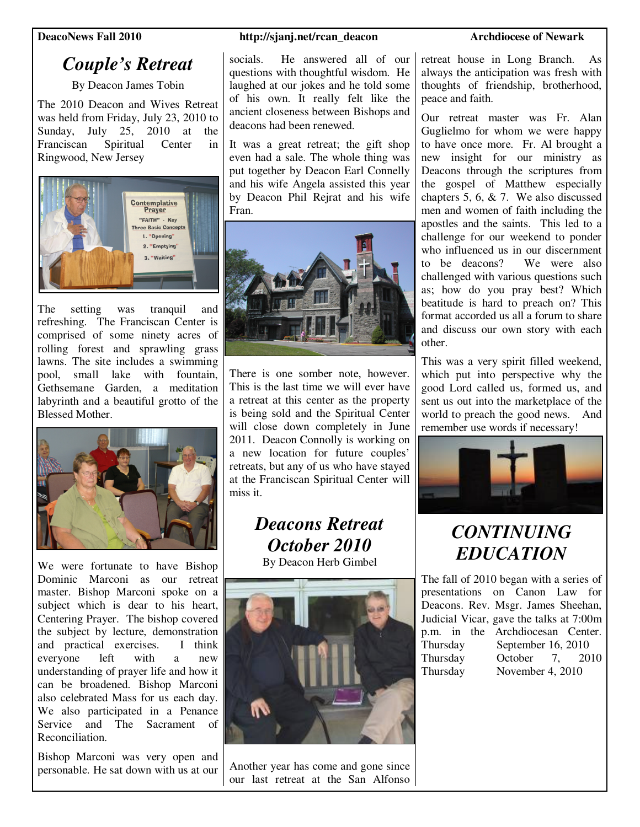## *Couple's Retreat*

By Deacon James Tobin

The 2010 Deacon and Wives Retreat was held from Friday, July 23, 2010 to Sunday, July 25, 2010 at the Franciscan Spiritual Center in Ringwood, New Jersey



The setting was tranquil and refreshing. The Franciscan Center is comprised of some ninety acres of rolling forest and sprawling grass lawns. The site includes a swimming pool, small lake with fountain, Gethsemane Garden, a meditation labyrinth and a beautiful grotto of the Blessed Mother.



We were fortunate to have Bishop Dominic Marconi as our retreat master. Bishop Marconi spoke on a subject which is dear to his heart, Centering Prayer. The bishop covered the subject by lecture, demonstration<br>and practical exercises. I think and practical exercises. everyone left with a new understanding of prayer life and how it can be broadened. Bishop Marconi also celebrated Mass for us each day. We also participated in a Penance Service and The Sacrament of Reconciliation.

Bishop Marconi was very open and personable. He sat down with us at our

### **DeacoNews Fall 2010** http://sjanj.net/rcan\_deacon Archdiocese of Newark

socials. He answered all of our questions with thoughtful wisdom. He laughed at our jokes and he told some of his own. It really felt like the ancient closeness between Bishops and deacons had been renewed.

It was a great retreat; the gift shop even had a sale. The whole thing was put together by Deacon Earl Connelly and his wife Angela assisted this year by Deacon Phil Rejrat and his wife Fran.



There is one somber note, however. This is the last time we will ever have a retreat at this center as the property is being sold and the Spiritual Center will close down completely in June 2011. Deacon Connolly is working on a new location for future couples' retreats, but any of us who have stayed at the Franciscan Spiritual Center will miss it.

# *Deacons Retreat October 2010*

By Deacon Herb Gimbel



Another year has come and gone since our last retreat at the San Alfonso

retreat house in Long Branch. As always the anticipation was fresh with thoughts of friendship, brotherhood, peace and faith.

Our retreat master was Fr. Alan Guglielmo for whom we were happy to have once more. Fr. Al brought a new insight for our ministry as Deacons through the scriptures from the gospel of Matthew especially chapters 5, 6, & 7. We also discussed men and women of faith including the apostles and the saints. This led to a challenge for our weekend to ponder who influenced us in our discernment to be deacons? We were also challenged with various questions such as; how do you pray best? Which beatitude is hard to preach on? This format accorded us all a forum to share and discuss our own story with each other.

This was a very spirit filled weekend, which put into perspective why the good Lord called us, formed us, and sent us out into the marketplace of the world to preach the good news. And remember use words if necessary!



# *CONTINUING EDUCATION*

The fall of 2010 began with a series of presentations on Canon Law for Deacons. Rev. Msgr. James Sheehan, Judicial Vicar, gave the talks at 7:00m p.m. in the Archdiocesan Center. Thursday September 16, 2010<br>Thursday October 7, 20 Thursday October 7, 2010 Thursday November 4, 2010